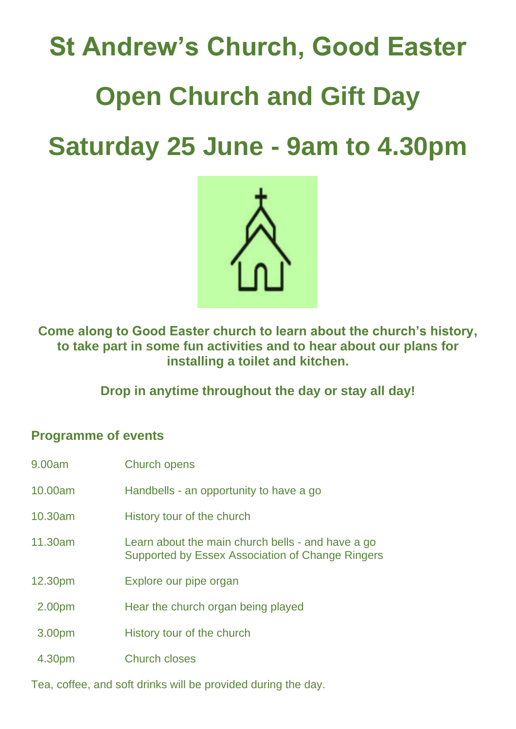## **St Andrew's Church, Good Easter Open Church and Gift Day Saturday 25 June - 9am to 4.30pm**



**Come along to Good Easter church to learn about the church's history, to take part in some fun activities and to hear about our plans for installing a toilet and kitchen.**

**Drop in anytime throughout the day or stay all day!**

## **Programme of events**

| 9.00am  | <b>Church opens</b>                                                                                   |
|---------|-------------------------------------------------------------------------------------------------------|
| 10,00am | Handbells - an opportunity to have a go                                                               |
| 10.30am | History tour of the church                                                                            |
| 11.30am | Learn about the main church bells - and have a go<br>Supported by Essex Association of Change Ringers |
| 12.30pm | Explore our pipe organ                                                                                |
| 2.00pm  | Hear the church organ being played                                                                    |
| 3.00pm  | History tour of the church                                                                            |
| 4.30pm  | <b>Church closes</b>                                                                                  |

Tea, coffee, and soft drinks will be provided during the day.